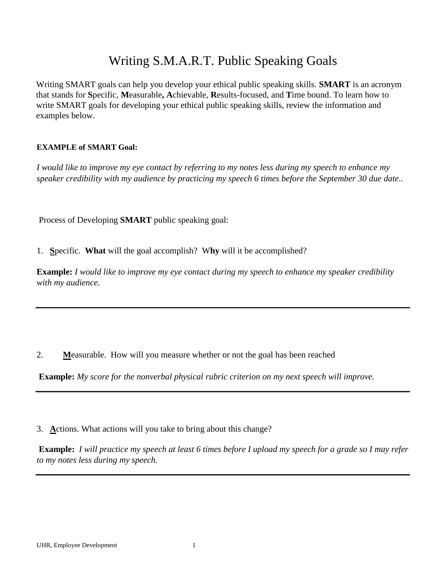## Writing S.M.A.R.T. Public Speaking Goals

Writing SMART goals can help you develop your ethical public speaking skills. **SMART** is an acronym that stands for **S**pecific, **M**easurable**, A**chievable, **R**esults-focused, and **T**ime bound. To learn how to write SMART goals for developing your ethical public speaking skills, review the information and examples below.

## **EXAMPLE of SMART Goal:**

*I would like to improve my eye contact by referring to my notes less during my speech to enhance my speaker credibility with my audience by practicing my speech 6 times before the September 30 due date..* 

Process of Developing **SMART** public speaking goal:

1. **S**pecific. **What** will the goal accomplish? W**hy** will it be accomplished?

**Example:** *I would like to improve my eye contact during my speech to enhance my speaker credibility with my audience.* 

2. **M**easurable. How will you measure whether or not the goal has been reached

**Example:** *My score for the nonverbal physical rubric criterion on my next speech will improve.*

3. **A**ctions. What actions will you take to bring about this change?

**Example:** *I will practice my speech at least 6 times before I upload my speech for a grade so I may refer to my notes less during my speech.*